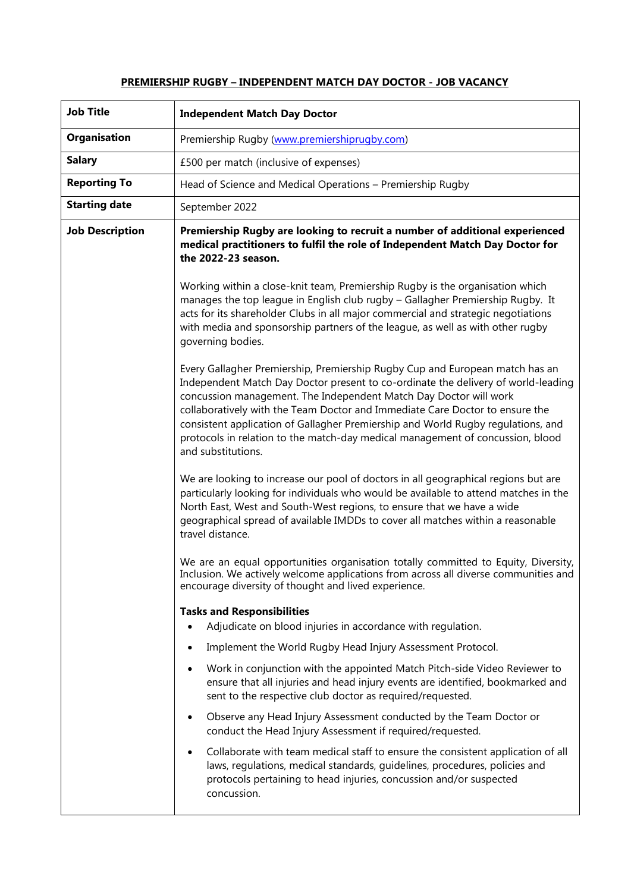## **PREMIERSHIP RUGBY – INDEPENDENT MATCH DAY DOCTOR - JOB VACANCY**

| <b>Job Title</b>       | <b>Independent Match Day Doctor</b>                                                                                                                                                                                                                                                                                                                                                                                                                                                                                |
|------------------------|--------------------------------------------------------------------------------------------------------------------------------------------------------------------------------------------------------------------------------------------------------------------------------------------------------------------------------------------------------------------------------------------------------------------------------------------------------------------------------------------------------------------|
| Organisation           | Premiership Rugby (www.premiershiprugby.com)                                                                                                                                                                                                                                                                                                                                                                                                                                                                       |
| <b>Salary</b>          | £500 per match (inclusive of expenses)                                                                                                                                                                                                                                                                                                                                                                                                                                                                             |
| <b>Reporting To</b>    | Head of Science and Medical Operations - Premiership Rugby                                                                                                                                                                                                                                                                                                                                                                                                                                                         |
| <b>Starting date</b>   | September 2022                                                                                                                                                                                                                                                                                                                                                                                                                                                                                                     |
| <b>Job Description</b> | Premiership Rugby are looking to recruit a number of additional experienced<br>medical practitioners to fulfil the role of Independent Match Day Doctor for<br>the 2022-23 season.                                                                                                                                                                                                                                                                                                                                 |
|                        | Working within a close-knit team, Premiership Rugby is the organisation which<br>manages the top league in English club rugby - Gallagher Premiership Rugby. It<br>acts for its shareholder Clubs in all major commercial and strategic negotiations<br>with media and sponsorship partners of the league, as well as with other rugby<br>governing bodies.                                                                                                                                                        |
|                        | Every Gallagher Premiership, Premiership Rugby Cup and European match has an<br>Independent Match Day Doctor present to co-ordinate the delivery of world-leading<br>concussion management. The Independent Match Day Doctor will work<br>collaboratively with the Team Doctor and Immediate Care Doctor to ensure the<br>consistent application of Gallagher Premiership and World Rugby regulations, and<br>protocols in relation to the match-day medical management of concussion, blood<br>and substitutions. |
|                        | We are looking to increase our pool of doctors in all geographical regions but are<br>particularly looking for individuals who would be available to attend matches in the<br>North East, West and South-West regions, to ensure that we have a wide<br>geographical spread of available IMDDs to cover all matches within a reasonable<br>travel distance.                                                                                                                                                        |
|                        | We are an equal opportunities organisation totally committed to Equity, Diversity,<br>Inclusion. We actively welcome applications from across all diverse communities and<br>encourage diversity of thought and lived experience.                                                                                                                                                                                                                                                                                  |
|                        | <b>Tasks and Responsibilities</b><br>Adjudicate on blood injuries in accordance with regulation.                                                                                                                                                                                                                                                                                                                                                                                                                   |
|                        | Implement the World Rugby Head Injury Assessment Protocol.<br>٠                                                                                                                                                                                                                                                                                                                                                                                                                                                    |
|                        | Work in conjunction with the appointed Match Pitch-side Video Reviewer to<br>$\bullet$<br>ensure that all injuries and head injury events are identified, bookmarked and<br>sent to the respective club doctor as required/requested.                                                                                                                                                                                                                                                                              |
|                        | Observe any Head Injury Assessment conducted by the Team Doctor or<br>$\bullet$<br>conduct the Head Injury Assessment if required/requested.                                                                                                                                                                                                                                                                                                                                                                       |
|                        | Collaborate with team medical staff to ensure the consistent application of all<br>$\bullet$<br>laws, regulations, medical standards, guidelines, procedures, policies and<br>protocols pertaining to head injuries, concussion and/or suspected<br>concussion.                                                                                                                                                                                                                                                    |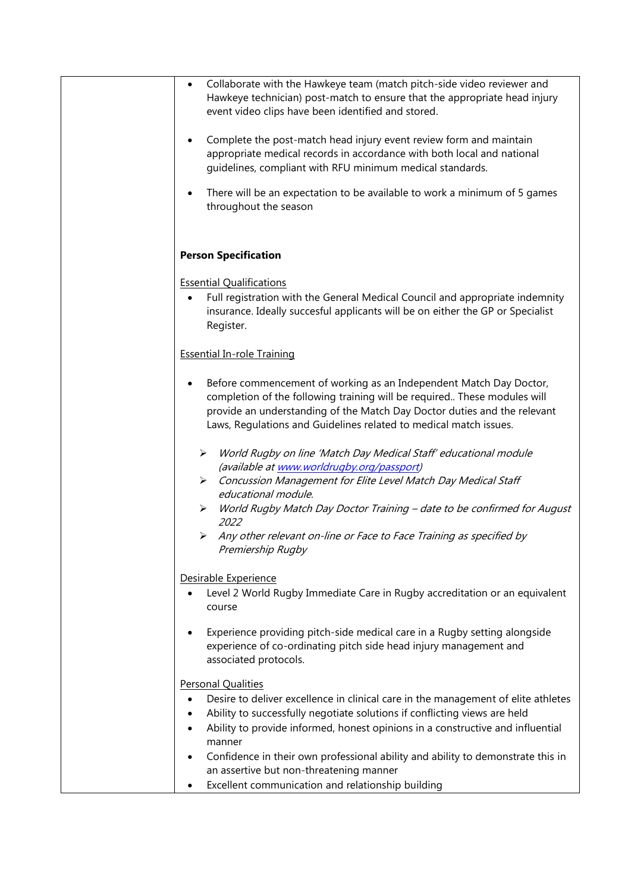| Collaborate with the Hawkeye team (match pitch-side video reviewer and<br>$\bullet$<br>Hawkeye technician) post-match to ensure that the appropriate head injury<br>event video clips have been identified and stored.                                                                                       |
|--------------------------------------------------------------------------------------------------------------------------------------------------------------------------------------------------------------------------------------------------------------------------------------------------------------|
| Complete the post-match head injury event review form and maintain<br>$\bullet$<br>appropriate medical records in accordance with both local and national<br>guidelines, compliant with RFU minimum medical standards.                                                                                       |
| There will be an expectation to be available to work a minimum of 5 games<br>$\bullet$<br>throughout the season                                                                                                                                                                                              |
| <b>Person Specification</b>                                                                                                                                                                                                                                                                                  |
| <b>Essential Qualifications</b>                                                                                                                                                                                                                                                                              |
| Full registration with the General Medical Council and appropriate indemnity<br>$\bullet$<br>insurance. Ideally succesful applicants will be on either the GP or Specialist<br>Register.                                                                                                                     |
| <b>Essential In-role Training</b>                                                                                                                                                                                                                                                                            |
| Before commencement of working as an Independent Match Day Doctor,<br>$\bullet$<br>completion of the following training will be required These modules will<br>provide an understanding of the Match Day Doctor duties and the relevant<br>Laws, Regulations and Guidelines related to medical match issues. |
| World Rugby on line 'Match Day Medical Staff' educational module<br>➤<br>(available at www.worldrugby.org/passport)                                                                                                                                                                                          |
| Concussion Management for Elite Level Match Day Medical Staff<br>$\blacktriangleright$<br>educational module.                                                                                                                                                                                                |
| World Rugby Match Day Doctor Training - date to be confirmed for August<br>➤<br>2022                                                                                                                                                                                                                         |
| Any other relevant on-line or Face to Face Training as specified by<br>➤<br>Premiership Rugby                                                                                                                                                                                                                |
| Desirable Experience                                                                                                                                                                                                                                                                                         |
| Level 2 World Rugby Immediate Care in Rugby accreditation or an equivalent<br>$\bullet$<br>course                                                                                                                                                                                                            |
| Experience providing pitch-side medical care in a Rugby setting alongside<br>experience of co-ordinating pitch side head injury management and<br>associated protocols.                                                                                                                                      |
| <b>Personal Qualities</b>                                                                                                                                                                                                                                                                                    |
| Desire to deliver excellence in clinical care in the management of elite athletes<br>$\bullet$                                                                                                                                                                                                               |
| Ability to successfully negotiate solutions if conflicting views are held<br>٠                                                                                                                                                                                                                               |
| Ability to provide informed, honest opinions in a constructive and influential                                                                                                                                                                                                                               |
| manner<br>Confidence in their own professional ability and ability to demonstrate this in<br>$\bullet$<br>an assertive but non-threatening manner                                                                                                                                                            |
| Excellent communication and relationship building<br>$\bullet$                                                                                                                                                                                                                                               |